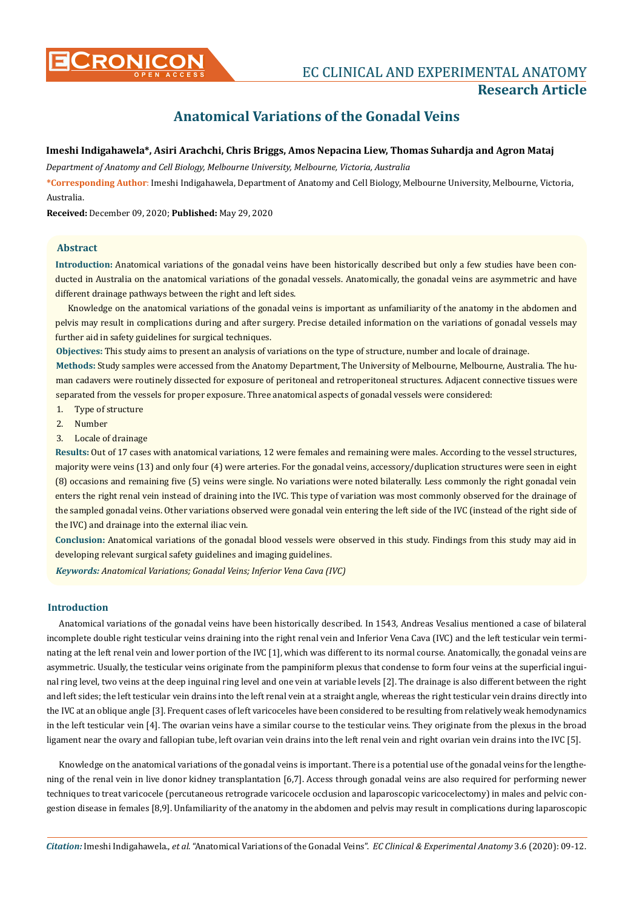# **Anatomical Variations of the Gonadal Veins**

# **Imeshi Indigahawela\*, Asiri Arachchi, Chris Briggs, Amos Nepacina Liew, Thomas Suhardja and Agron Mataj**

*Department of Anatomy and Cell Biology, Melbourne University, Melbourne, Victoria, Australia*

**\*Corresponding Author**: Imeshi Indigahawela, Department of Anatomy and Cell Biology, Melbourne University, Melbourne, Victoria, Australia.

**Received:** December 09, 2020; **Published:** May 29, 2020

# **Abstract**

**Introduction:** Anatomical variations of the gonadal veins have been historically described but only a few studies have been conducted in Australia on the anatomical variations of the gonadal vessels. Anatomically, the gonadal veins are asymmetric and have different drainage pathways between the right and left sides.

Knowledge on the anatomical variations of the gonadal veins is important as unfamiliarity of the anatomy in the abdomen and pelvis may result in complications during and after surgery. Precise detailed information on the variations of gonadal vessels may further aid in safety guidelines for surgical techniques.

**Objectives:** This study aims to present an analysis of variations on the type of structure, number and locale of drainage.

**Methods:** Study samples were accessed from the Anatomy Department, The University of Melbourne, Melbourne, Australia. The human cadavers were routinely dissected for exposure of peritoneal and retroperitoneal structures. Adjacent connective tissues were separated from the vessels for proper exposure. Three anatomical aspects of gonadal vessels were considered:

- 1. Type of structure
- 2. Number
- 3. Locale of drainage

**Results:** Out of 17 cases with anatomical variations, 12 were females and remaining were males. According to the vessel structures, majority were veins (13) and only four (4) were arteries. For the gonadal veins, accessory/duplication structures were seen in eight (8) occasions and remaining five (5) veins were single. No variations were noted bilaterally. Less commonly the right gonadal vein enters the right renal vein instead of draining into the IVC. This type of variation was most commonly observed for the drainage of the sampled gonadal veins. Other variations observed were gonadal vein entering the left side of the IVC (instead of the right side of the IVC) and drainage into the external iliac vein.

**Conclusion:** Anatomical variations of the gonadal blood vessels were observed in this study. Findings from this study may aid in developing relevant surgical safety guidelines and imaging guidelines.

*Keywords: Anatomical Variations; Gonadal Veins; Inferior Vena Cava (IVC)*

# **Introduction**

Anatomical variations of the gonadal veins have been historically described. In 1543, Andreas Vesalius mentioned a case of bilateral incomplete double right testicular veins draining into the right renal vein and Inferior Vena Cava (IVC) and the left testicular vein terminating at the left renal vein and lower portion of the IVC [1], which was different to its normal course. Anatomically, the gonadal veins are asymmetric. Usually, the testicular veins originate from the pampiniform plexus that condense to form four veins at the superficial inguinal ring level, two veins at the deep inguinal ring level and one vein at variable levels [2]. The drainage is also different between the right and left sides; the left testicular vein drains into the left renal vein at a straight angle, whereas the right testicular vein drains directly into the IVC at an oblique angle [3]. Frequent cases of left varicoceles have been considered to be resulting from relatively weak hemodynamics in the left testicular vein [4]. The ovarian veins have a similar course to the testicular veins. They originate from the plexus in the broad ligament near the ovary and fallopian tube, left ovarian vein drains into the left renal vein and right ovarian vein drains into the IVC [5].

Knowledge on the anatomical variations of the gonadal veins is important. There is a potential use of the gonadal veins for the lengthening of the renal vein in live donor kidney transplantation [6,7]. Access through gonadal veins are also required for performing newer techniques to treat varicocele (percutaneous retrograde varicocele occlusion and laparoscopic varicocelectomy) in males and pelvic congestion disease in females [8,9]. Unfamiliarity of the anatomy in the abdomen and pelvis may result in complications during laparoscopic

*Citation:* Imeshi Indigahawela., *et al*. "Anatomical Variations of the Gonadal Veins". *EC Clinical & Experimental Anatomy* 3.6 (2020): 09-12.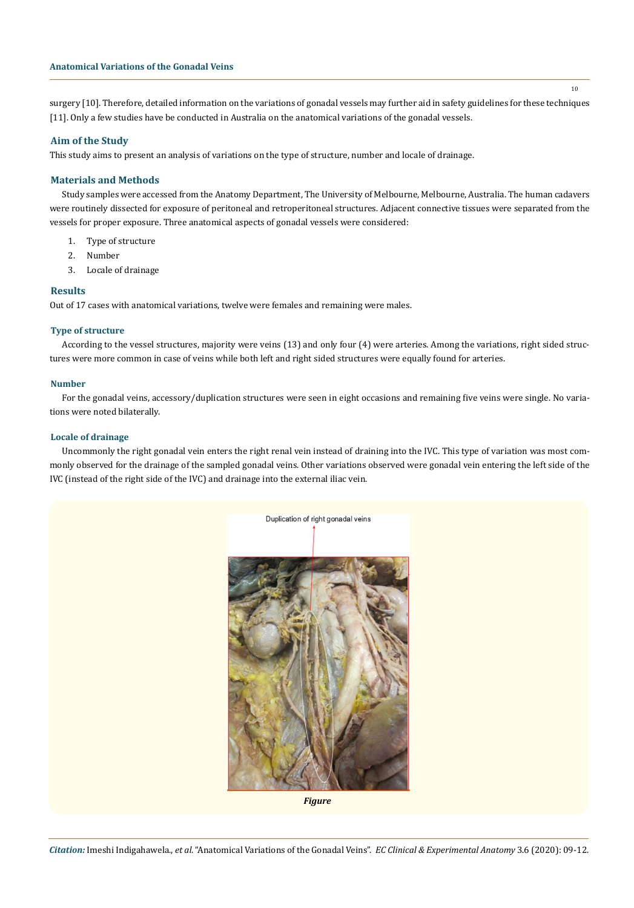surgery [10]. Therefore, detailed information on the variations of gonadal vessels may further aid in safety guidelines for these techniques [11]. Only a few studies have be conducted in Australia on the anatomical variations of the gonadal vessels.

# **Aim of the Study**

This study aims to present an analysis of variations on the type of structure, number and locale of drainage.

# **Materials and Methods**

Study samples were accessed from the Anatomy Department, The University of Melbourne, Melbourne, Australia. The human cadavers were routinely dissected for exposure of peritoneal and retroperitoneal structures. Adjacent connective tissues were separated from the vessels for proper exposure. Three anatomical aspects of gonadal vessels were considered:

- 1. Type of structure
- 2. Number
- 3. Locale of drainage

# **Results**

Out of 17 cases with anatomical variations, twelve were females and remaining were males.

## **Type of structure**

According to the vessel structures, majority were veins (13) and only four (4) were arteries. Among the variations, right sided structures were more common in case of veins while both left and right sided structures were equally found for arteries.

#### **Number**

For the gonadal veins, accessory/duplication structures were seen in eight occasions and remaining five veins were single. No variations were noted bilaterally.

# **Locale of drainage**

Uncommonly the right gonadal vein enters the right renal vein instead of draining into the IVC. This type of variation was most commonly observed for the drainage of the sampled gonadal veins. Other variations observed were gonadal vein entering the left side of the IVC (instead of the right side of the IVC) and drainage into the external iliac vein.



*Figure* 

*Citation:* Imeshi Indigahawela., *et al*. "Anatomical Variations of the Gonadal Veins". *EC Clinical & Experimental Anatomy* 3.6 (2020): 09-12.

10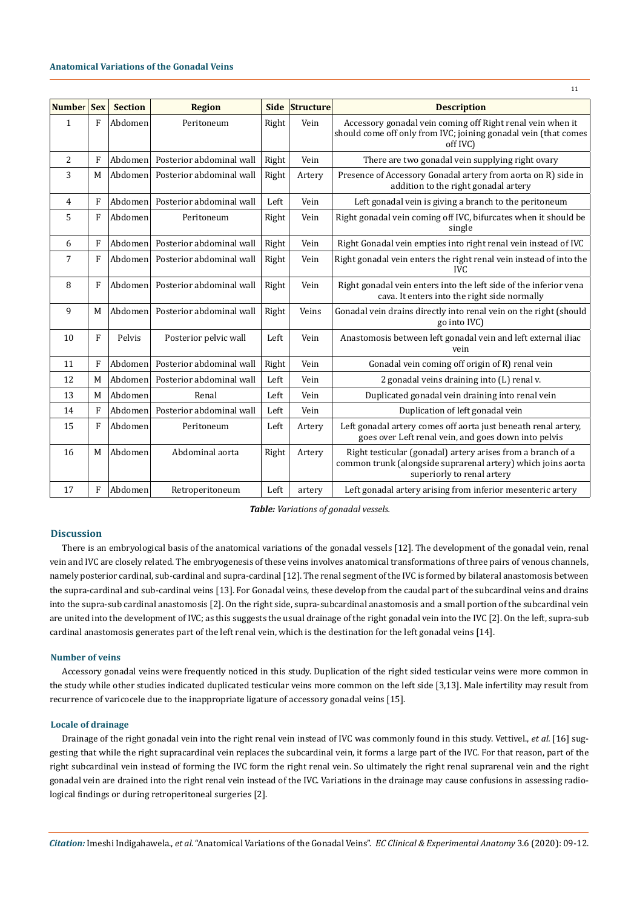| Number       | <b>Sex</b>   | <b>Section</b> | <b>Region</b>            |       | Side Structure | <b>Description</b>                                                                                                                                        |
|--------------|--------------|----------------|--------------------------|-------|----------------|-----------------------------------------------------------------------------------------------------------------------------------------------------------|
| $\mathbf{1}$ | F            | Abdomen        | Peritoneum               | Right | Vein           | Accessory gonadal vein coming off Right renal vein when it<br>should come off only from IVC; joining gonadal vein (that comes<br>off IVC)                 |
| 2            | F            | Abdomen        | Posterior abdominal wall | Right | Vein           | There are two gonadal vein supplying right ovary                                                                                                          |
| 3            | M            | Abdomen        | Posterior abdominal wall | Right | Artery         | Presence of Accessory Gonadal artery from aorta on R) side in<br>addition to the right gonadal artery                                                     |
| 4            | F            | Abdomen        | Posterior abdominal wall | Left  | Vein           | Left gonadal vein is giving a branch to the peritoneum                                                                                                    |
| 5            | F            | Abdomen        | Peritoneum               | Right | Vein           | Right gonadal vein coming off IVC, bifurcates when it should be<br>single                                                                                 |
| 6            | F            | Abdomen        | Posterior abdominal wall | Right | Vein           | Right Gonadal vein empties into right renal vein instead of IVC                                                                                           |
| 7            | F            | Abdomen        | Posterior abdominal wall | Right | Vein           | Right gonadal vein enters the right renal vein instead of into the<br><b>IVC</b>                                                                          |
| 8            | F            | Abdomen        | Posterior abdominal wall | Right | Vein           | Right gonadal vein enters into the left side of the inferior vena<br>cava. It enters into the right side normally                                         |
| 9            | M            | Abdomen        | Posterior abdominal wall | Right | Veins          | Gonadal vein drains directly into renal vein on the right (should<br>go into IVC)                                                                         |
| 10           | F            | Pelvis         | Posterior pelvic wall    | Left  | Vein           | Anastomosis between left gonadal vein and left external iliac<br>vein                                                                                     |
| 11           | $\mathbf{F}$ | Abdomen        | Posterior abdominal wall | Right | Vein           | Gonadal vein coming off origin of R) renal vein                                                                                                           |
| 12           | M            | Abdomen        | Posterior abdominal wall | Left  | Vein           | 2 gonadal veins draining into (L) renal v.                                                                                                                |
| 13           | M            | Abdomen        | Renal                    | Left  | Vein           | Duplicated gonadal vein draining into renal vein                                                                                                          |
| 14           | F            | Abdomen        | Posterior abdominal wall | Left  | Vein           | Duplication of left gonadal vein                                                                                                                          |
| 15           | F            | Abdomen        | Peritoneum               | Left  | Artery         | Left gonadal artery comes off aorta just beneath renal artery,<br>goes over Left renal vein, and goes down into pelvis                                    |
| 16           | M            | Abdomen        | Abdominal aorta          | Right | Artery         | Right testicular (gonadal) artery arises from a branch of a<br>common trunk (alongside suprarenal artery) which joins aorta<br>superiorly to renal artery |
| 17           | F            | Abdomen        | Retroperitoneum          | Left  | artery         | Left gonadal artery arising from inferior mesenteric artery                                                                                               |

11

*Table: Variations of gonadal vessels.*

## **Discussion**

There is an embryological basis of the anatomical variations of the gonadal vessels [12]. The development of the gonadal vein, renal vein and IVC are closely related. The embryogenesis of these veins involves anatomical transformations of three pairs of venous channels, namely posterior cardinal, sub-cardinal and supra-cardinal [12]. The renal segment of the IVC is formed by bilateral anastomosis between the supra-cardinal and sub-cardinal veins [13]. For Gonadal veins, these develop from the caudal part of the subcardinal veins and drains into the supra-sub cardinal anastomosis [2]. On the right side, supra-subcardinal anastomosis and a small portion of the subcardinal vein are united into the development of IVC; as this suggests the usual drainage of the right gonadal vein into the IVC [2]. On the left, supra-sub cardinal anastomosis generates part of the left renal vein, which is the destination for the left gonadal veins [14].

# **Number of veins**

Accessory gonadal veins were frequently noticed in this study. Duplication of the right sided testicular veins were more common in the study while other studies indicated duplicated testicular veins more common on the left side [3,13]. Male infertility may result from recurrence of varicocele due to the inappropriate ligature of accessory gonadal veins [15].

#### **Locale of drainage**

Drainage of the right gonadal vein into the right renal vein instead of IVC was commonly found in this study. Vettivel., *et al.* [16] suggesting that while the right supracardinal vein replaces the subcardinal vein, it forms a large part of the IVC. For that reason, part of the right subcardinal vein instead of forming the IVC form the right renal vein. So ultimately the right renal suprarenal vein and the right gonadal vein are drained into the right renal vein instead of the IVC. Variations in the drainage may cause confusions in assessing radiological findings or during retroperitoneal surgeries [2].